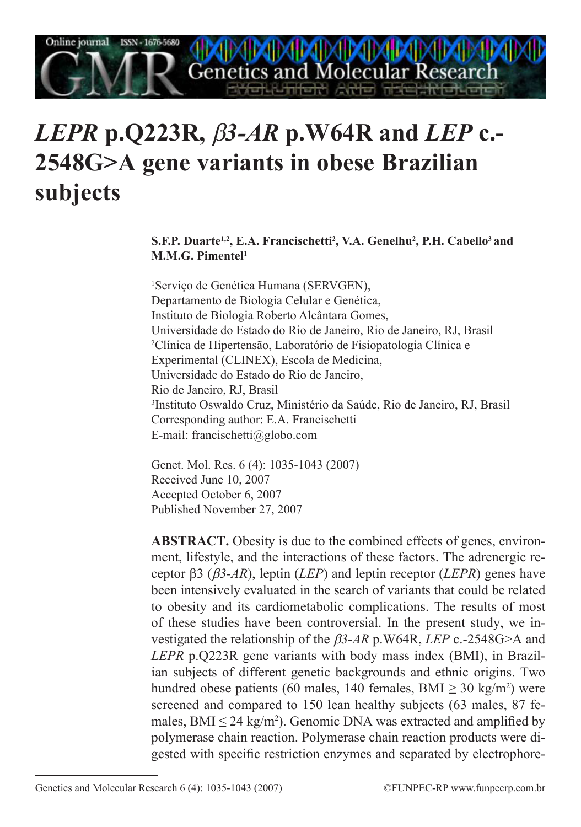**Cenetics and Molecular Research** 

# *LEPR* **p.Q223R,** β*3-AR* **p.W64R and** *LEP* **c.- 2548G>A gene variants in obese Brazilian subjects**

**S.F.P. Duarte1,2, E.A. Francischetti2 , V.A. Genelhu2 , P.H. Cabello3 and M.M.G. Pimentel1**

1 Serviço de Genética Humana (SERVGEN), Departamento de Biologia Celular e Genética, Instituto de Biologia Roberto Alcântara Gomes, Universidade do Estado do Rio de Janeiro, Rio de Janeiro, RJ, Brasil 2 Clínica de Hipertensão, Laboratório de Fisiopatologia Clínica e Experimental (CLINEX), Escola de Medicina, Universidade do Estado do Rio de Janeiro, Rio de Janeiro, RJ, Brasil 3 Instituto Oswaldo Cruz, Ministério da Saúde, Rio de Janeiro, RJ, Brasil Corresponding author: E.A. Francischetti E-mail: francischetti@globo.com

Genet. Mol. Res. 6 (4): 1035-1043 (2007) Received June 10, 2007 Accepted October 6, 2007 Published November 27, 2007

**ABSTRACT.** Obesity is due to the combined effects of genes, environment, lifestyle, and the interactions of these factors. The adrenergic receptor β3 (β*3-AR*), leptin (*LEP*) and leptin receptor (*LEPR*) genes have been intensively evaluated in the search of variants that could be related to obesity and its cardiometabolic complications. The results of most of these studies have been controversial. In the present study, we investigated the relationship of the β*3-AR* p.W64R, *LEP* c.-2548G>A and *LEPR* p.Q223R gene variants with body mass index (BMI), in Brazilian subjects of different genetic backgrounds and ethnic origins. Two hundred obese patients (60 males, 140 females,  $BMI \geq 30 \text{ kg/m}^2$ ) were screened and compared to 150 lean healthy subjects (63 males, 87 females,  $BMI \leq 24 \text{ kg/m}^2$ ). Genomic DNA was extracted and amplified by polymerase chain reaction. Polymerase chain reaction products were digested with specific restriction enzymes and separated by electrophore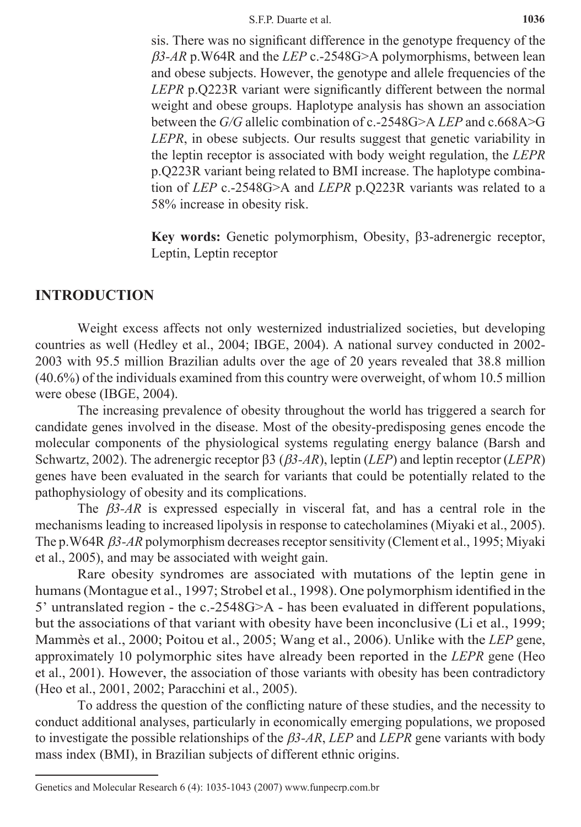sis. There was no significant difference in the genotype frequency of the β*3-AR* p.W64R and the *LEP* c.-2548G>A polymorphisms, between lean and obese subjects. However, the genotype and allele frequencies of the *LEPR* p.Q223R variant were significantly different between the normal weight and obese groups. Haplotype analysis has shown an association between the *G/G* allelic combination of c.-2548G>A *LEP* and c.668A>G *LEPR*, in obese subjects. Our results suggest that genetic variability in the leptin receptor is associated with body weight regulation, the *LEPR* p.Q223R variant being related to BMI increase. The haplotype combination of *LEP* c.-2548G>A and *LEPR* p.Q223R variants was related to a 58% increase in obesity risk.

**Key words:** Genetic polymorphism, Obesity, β3-adrenergic receptor, Leptin, Leptin receptor

# **Introduction**

Weight excess affects not only westernized industrialized societies, but developing countries as well (Hedley et al., 2004; IBGE, 2004). A national survey conducted in 2002- 2003 with 95.5 million Brazilian adults over the age of 20 years revealed that 38.8 million (40.6%) of the individuals examined from this country were overweight, of whom 10.5 million were obese (IBGE, 2004).

The increasing prevalence of obesity throughout the world has triggered a search for candidate genes involved in the disease. Most of the obesity-predisposing genes encode the molecular components of the physiological systems regulating energy balance (Barsh and Schwartz, 2002). The adrenergic receptor β3 (β*3-AR*), leptin (*LEP*) and leptin receptor (*LEPR*) genes have been evaluated in the search for variants that could be potentially related to the pathophysiology of obesity and its complications.

The β*3-AR* is expressed especially in visceral fat, and has a central role in the mechanisms leading to increased lipolysis in response to catecholamines (Miyaki et al., 2005). The p.W64R β*3-AR* polymorphism decreases receptor sensitivity (Clement et al., 1995; Miyaki et al., 2005), and may be associated with weight gain.

Rare obesity syndromes are associated with mutations of the leptin gene in humans (Montague et al., 1997; Strobel et al., 1998). One polymorphism identified in the 5' untranslated region - the c.-2548G>A - has been evaluated in different populations, but the associations of that variant with obesity have been inconclusive (Li et al., 1999; Mammès et al., 2000; Poitou et al., 2005; Wang et al., 2006). Unlike with the *LEP* gene, approximately 10 polymorphic sites have already been reported in the *LEPR* gene (Heo et al., 2001). However, the association of those variants with obesity has been contradictory (Heo et al., 2001, 2002; Paracchini et al., 2005).

To address the question of the conflicting nature of these studies, and the necessity to conduct additional analyses, particularly in economically emerging populations, we proposed to investigate the possible relationships of the β*3-AR*, *LEP* and *LEPR* gene variants with body mass index (BMI), in Brazilian subjects of different ethnic origins.

Genetics and Molecular Research 6 (4): 1035-1043 (2007) www.funpecrp.com.br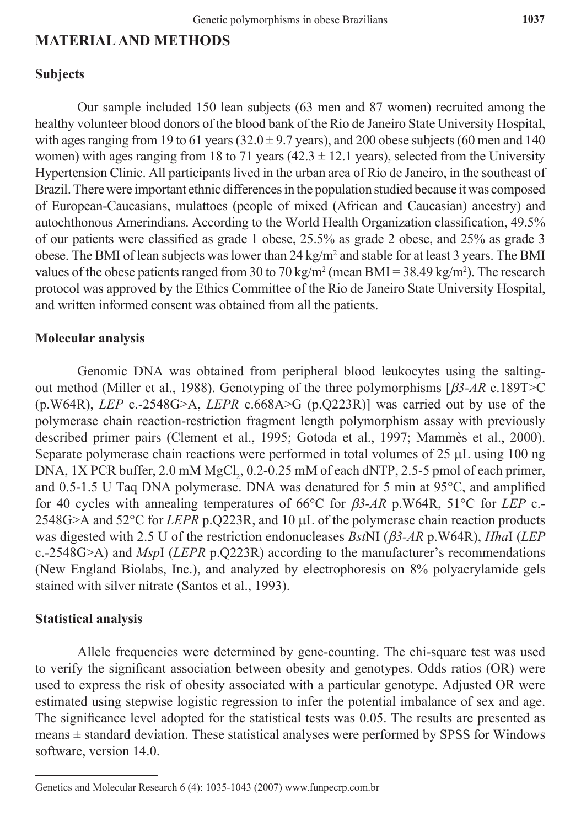# **Material and Methods**

## **Subjects**

Our sample included 150 lean subjects (63 men and 87 women) recruited among the healthy volunteer blood donors of the blood bank of the Rio de Janeiro State University Hospital, with ages ranging from 19 to 61 years ( $32.0 \pm 9.7$  years), and 200 obese subjects (60 men and 140 women) with ages ranging from 18 to 71 years (42.3  $\pm$  12.1 years), selected from the University Hypertension Clinic. All participants lived in the urban area of Rio de Janeiro, in the southeast of Brazil. There were important ethnic differences in the population studied because it was composed of European-Caucasians, mulattoes (people of mixed (African and Caucasian) ancestry) and autochthonous Amerindians. According to the World Health Organization classification, 49.5% of our patients were classified as grade 1 obese, 25.5% as grade 2 obese, and 25% as grade 3 obese. The BMI of lean subjects was lower than  $24 \text{ kg/m}^2$  and stable for at least 3 years. The BMI values of the obese patients ranged from 30 to 70 kg/m<sup>2</sup> (mean BMI = 38.49 kg/m<sup>2</sup>). The research protocol was approved by the Ethics Committee of the Rio de Janeiro State University Hospital, and written informed consent was obtained from all the patients.

### **Molecular analysis**

Genomic DNA was obtained from peripheral blood leukocytes using the saltingout method (Miller et al., 1988). Genotyping of the three polymorphisms [β*3-AR* c.189T>C (p.W64R), *LEP* c.-2548G>A, *LEPR* c.668A>G (p.Q223R)] was carried out by use of the polymerase chain reaction-restriction fragment length polymorphism assay with previously described primer pairs (Clement et al., 1995; Gotoda et al., 1997; Mammès et al., 2000). Separate polymerase chain reactions were performed in total volumes of 25 µL using 100 ng DNA, 1X PCR buffer, 2.0 mM  $MgCl_2$ , 0.2-0.25 mM of each dNTP, 2.5-5 pmol of each primer, and 0.5-1.5 U Taq DNA polymerase. DNA was denatured for 5 min at 95°C, and amplified for 40 cycles with annealing temperatures of 66°C for β*3-AR* p.W64R, 51°C for *LEP* c.- 2548G>A and 52°C for *LEPR* p.Q223R, and 10 µL of the polymerase chain reaction products was digested with 2.5 U of the restriction endonucleases *Bst*NI (β*3-AR* p.W64R), *Hha*I (*LEP*  c.-2548G>A) and *Msp*I (*LEPR* p.Q223R) according to the manufacturer's recommendations (New England Biolabs, Inc.), and analyzed by electrophoresis on 8% polyacrylamide gels stained with silver nitrate (Santos et al., 1993).

#### **Statistical analysis**

Allele frequencies were determined by gene-counting. The chi-square test was used to verify the significant association between obesity and genotypes. Odds ratios (OR) were used to express the risk of obesity associated with a particular genotype. Adjusted OR were estimated using stepwise logistic regression to infer the potential imbalance of sex and age. The significance level adopted for the statistical tests was 0.05. The results are presented as means  $\pm$  standard deviation. These statistical analyses were performed by SPSS for Windows software, version 14.0.

Genetics and Molecular Research 6 (4): 1035-1043 (2007) www.funpecrp.com.br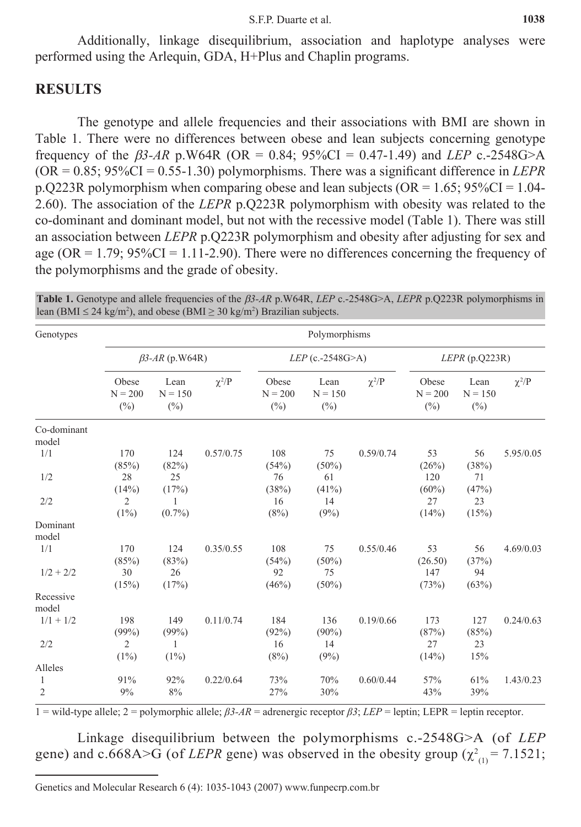Additionally, linkage disequilibrium, association and haplotype analyses were performed using the Arlequin, GDA, H+Plus and Chaplin programs.

## **Results**

The genotype and allele frequencies and their associations with BMI are shown in Table 1. There were no differences between obese and lean subjects concerning genotype frequency of the  $\beta$ 3-AR p.W64R (OR = 0.84; 95%CI = 0.47-1.49) and *LEP* c.-2548G>A  $(OR = 0.85; 95\% CI = 0.55-1.30)$  polymorphisms. There was a significant difference in *LEPR* p.Q223R polymorphism when comparing obese and lean subjects ( $OR = 1.65$ ;  $95\%CI = 1.04$ -2.60). The association of the *LEPR* p.Q223R polymorphism with obesity was related to the co-dominant and dominant model, but not with the recessive model (Table 1). There was still an association between *LEPR* p.Q223R polymorphism and obesity after adjusting for sex and age ( $OR = 1.79$ ;  $95\%CI = 1.11-2.90$ ). There were no differences concerning the frequency of the polymorphisms and the grade of obesity.

**Table 1.** Genotype and allele frequencies of the β*3-AR* p.W64R, *LEP* c.-2548G>A, *LEPR* p.Q223R polymorphisms in lean (BMI  $\leq$  24 kg/m<sup>2</sup>), and obese (BMI  $\geq$  30 kg/m<sup>2</sup>) Brazilian subjects.

| Genotypes            | Polymorphisms                |                             |            |                              |                             |            |                              |                             |            |  |  |
|----------------------|------------------------------|-----------------------------|------------|------------------------------|-----------------------------|------------|------------------------------|-----------------------------|------------|--|--|
|                      | $\beta$ 3-AR (p.W64R)        |                             |            | $LEP$ (c.-2548G>A)           |                             |            | LEPR(p.Q223R)                |                             |            |  |  |
|                      | Obese<br>$N = 200$<br>$(\%)$ | Lean<br>$N = 150$<br>$(\%)$ | $\chi^2/P$ | Obese<br>$N = 200$<br>$(\%)$ | Lean<br>$N = 150$<br>$(\%)$ | $\chi^2/P$ | Obese<br>$N = 200$<br>$(\%)$ | Lean<br>$N = 150$<br>$(\%)$ | $\chi^2/P$ |  |  |
| Co-dominant<br>model |                              |                             |            |                              |                             |            |                              |                             |            |  |  |
| 1/1                  | 170<br>(85%)                 | 124<br>(82%)                | 0.57/0.75  | 108<br>(54%)                 | 75<br>$(50\%)$              | 0.59/0.74  | 53<br>(26%)                  | 56<br>(38%)                 | 5.95/0.05  |  |  |
| 1/2                  | 28<br>(14%)                  | 25<br>(17%)                 |            | 76<br>(38%)                  | 61<br>$(41\%)$              |            | 120<br>$(60\%)$              | 71<br>(47%)                 |            |  |  |
| 2/2                  | $\overline{2}$<br>$(1\%)$    | $(0.7\%)$                   |            | 16<br>(8%)                   | 14<br>(9%)                  |            | 27<br>(14%)                  | 23<br>(15%)                 |            |  |  |
| Dominant<br>model    |                              |                             |            |                              |                             |            |                              |                             |            |  |  |
| 1/1                  | 170<br>(85%)                 | 124<br>(83%)                | 0.35/0.55  | 108<br>(54%)                 | 75<br>(50%)                 | 0.55/0.46  | 53<br>(26.50)                | 56<br>(37%)                 | 4.69/0.03  |  |  |
| $1/2 + 2/2$          | 30<br>(15%)                  | 26<br>(17%)                 |            | 92<br>(46%)                  | 75<br>$(50\%)$              |            | 147<br>(73%)                 | 94<br>(63%)                 |            |  |  |
| Recessive<br>model   |                              |                             |            |                              |                             |            |                              |                             |            |  |  |
| $1/1 + 1/2$          | 198<br>(99%)                 | 149<br>(99%)                | 0.11/0.74  | 184<br>(92%)                 | 136<br>$(90\%)$             | 0.19/0.66  | 173<br>(87%)                 | 127<br>(85%)                | 0.24/0.63  |  |  |
| 2/2                  | $\overline{2}$<br>(1%)       | 1<br>$(1\%)$                |            | 16<br>(8%)                   | 14<br>(9%)                  |            | 27<br>(14%)                  | 23<br>15%                   |            |  |  |
| Alleles              |                              |                             |            |                              |                             |            |                              |                             |            |  |  |
| 1<br>$\overline{2}$  | 91%<br>9%                    | 92%<br>8%                   | 0.22/0.64  | 73%<br>27%                   | 70%<br>30%                  | 0.60/0.44  | 57%<br>43%                   | 61%<br>39%                  | 1.43/0.23  |  |  |

1 = wild-type allele; 2 = polymorphic allele; *β3-AR* = adrenergic receptor *β3*; *LEP* = leptin; LEPR = leptin receptor.

Linkage disequilibrium between the polymorphisms c.-2548G>A (of *LEP* gene) and c.668A>G (of *LEPR* gene) was observed in the obesity group  $(\chi^2_{(1)} = 7.1521)$ ;

Genetics and Molecular Research 6 (4): 1035-1043 (2007) www.funpecrp.com.br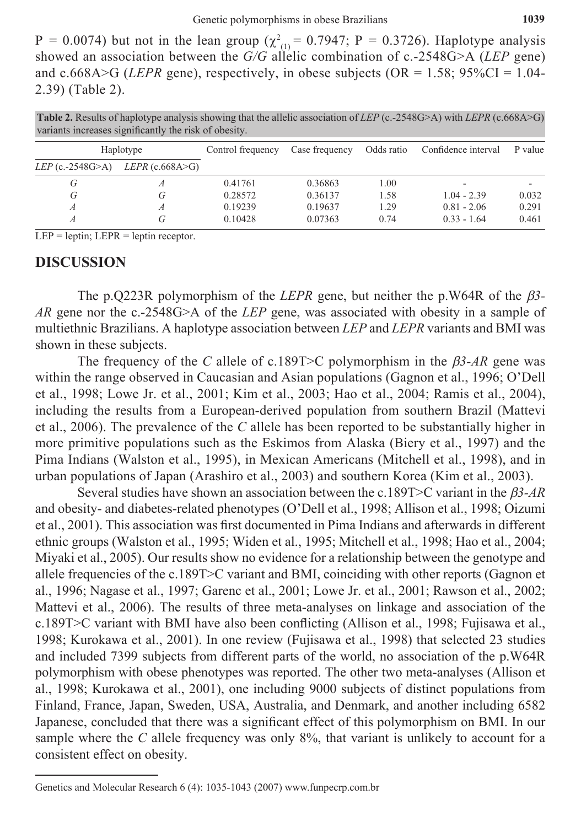$P = 0.0074$ ) but not in the lean group ( $\chi^2$ <sub>(1)</sub> = 0.7947; P = 0.3726). Haplotype analysis showed an association between the *G/G* allelic combination of c.-2548G>A (*LEP* gene) and c.668A $>$ G (*LEPR* gene), respectively, in obese subjects (OR = 1.58; 95%CI = 1.04-2.39) (Table 2).

**Table 2.** Results of haplotype analysis showing that the allelic association of *LEP* (c.-2548G>A) with *LEPR* (c.668A>G) variants increases significantly the risk of obesity.

|                         | Haplotype              | Control frequency | Case frequency | Odds ratio | Confidence interval | P value |
|-------------------------|------------------------|-------------------|----------------|------------|---------------------|---------|
| <i>LEP</i> (c.-2548G>A) | <i>LEPR</i> (c.668A>G) |                   |                |            |                     |         |
| G                       |                        | 0.41761           | 0.36863        | 1.00       |                     |         |
| G                       | G                      | 0.28572           | 0.36137        | 1.58       | $1.04 - 2.39$       | 0.032   |
|                         |                        | 0.19239           | 0.19637        | 1.29       | $0.81 - 2.06$       | 0.291   |
|                         | G                      | 0.10428           | 0.07363        | 0.74       | $0.33 - 1.64$       | 0.461   |

 $LEP = leptin$ ;  $LEPR = leptin receptor$ .

#### **Discussion**

The p.Q223R polymorphism of the *LEPR* gene, but neither the p.W64R of the β*3- AR* gene nor the c.-2548G>A of the *LEP* gene, was associated with obesity in a sample of multiethnic Brazilians. A haplotype association between *LEP* and *LEPR* variants and BMI was shown in these subjects.

The frequency of the *C* allele of c.189T>C polymorphism in the β*3-AR* gene was within the range observed in Caucasian and Asian populations (Gagnon et al., 1996; O'Dell et al., 1998; Lowe Jr. et al., 2001; Kim et al., 2003; Hao et al., 2004; Ramis et al., 2004), including the results from a European-derived population from southern Brazil (Mattevi et al., 2006). The prevalence of the *C* allele has been reported to be substantially higher in more primitive populations such as the Eskimos from Alaska (Biery et al., 1997) and the Pima Indians (Walston et al., 1995), in Mexican Americans (Mitchell et al., 1998), and in urban populations of Japan (Arashiro et al., 2003) and southern Korea (Kim et al., 2003).

Several studies have shown an association between the c.189T>C variant in the β*3-AR* and obesity- and diabetes-related phenotypes (O'Dell et al., 1998; Allison et al., 1998; Oizumi et al., 2001). This association was first documented in Pima Indians and afterwards in different ethnic groups (Walston et al., 1995; Widen et al., 1995; Mitchell et al., 1998; Hao et al., 2004; Miyaki et al., 2005). Our results show no evidence for a relationship between the genotype and allele frequencies of the c.189T>C variant and BMI, coinciding with other reports (Gagnon et al., 1996; Nagase et al., 1997; Garenc et al., 2001; Lowe Jr. et al., 2001; Rawson et al., 2002; Mattevi et al., 2006). The results of three meta-analyses on linkage and association of the c.189T>C variant with BMI have also been conflicting (Allison et al., 1998; Fujisawa et al., 1998; Kurokawa et al., 2001). In one review (Fujisawa et al., 1998) that selected 23 studies and included 7399 subjects from different parts of the world, no association of the p.W64R polymorphism with obese phenotypes was reported. The other two meta-analyses (Allison et al., 1998; Kurokawa et al., 2001), one including 9000 subjects of distinct populations from Finland, France, Japan, Sweden, USA, Australia, and Denmark, and another including 6582 Japanese, concluded that there was a significant effect of this polymorphism on BMI. In our sample where the *C* allele frequency was only 8%, that variant is unlikely to account for a consistent effect on obesity.

Genetics and Molecular Research 6 (4): 1035-1043 (2007) www.funpecrp.com.br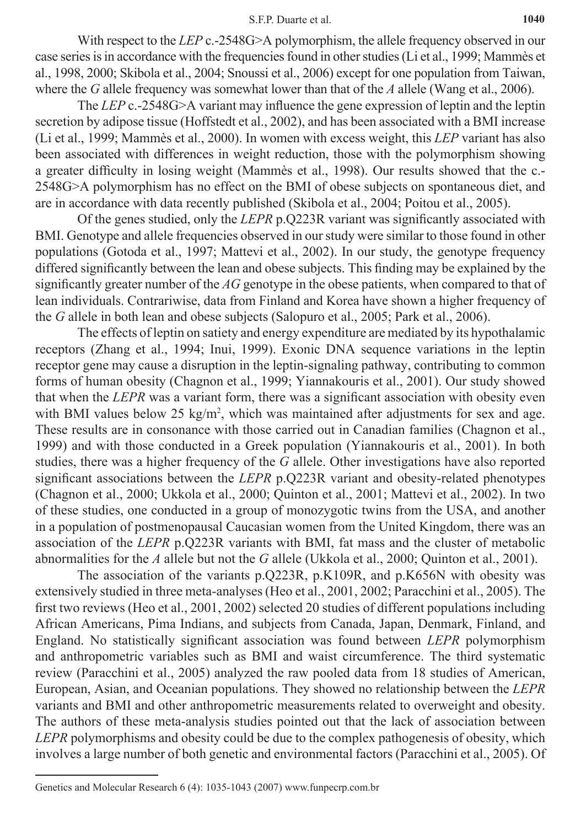#### S.F.P. Duarte et al. **1040**

With respect to the *LEP* c<sub>-</sub>-2548G>A polymorphism, the allele frequency observed in our case series is in accordance with the frequencies found in other studies (Li et al., 1999; Mammès et al., 1998, 2000; Skibola et al., 2004; Snoussi et al., 2006) except for one population from Taiwan, where the *G* allele frequency was somewhat lower than that of the *A* allele (Wang et al., 2006).

The *LEP* c.-2548G>A variant may influence the gene expression of leptin and the leptin secretion by adipose tissue (Hoffstedt et al., 2002), and has been associated with a BMI increase (Li et al., 1999; Mammès et al., 2000). In women with excess weight, this *LEP* variant has also been associated with differences in weight reduction, those with the polymorphism showing a greater difficulty in losing weight (Mammès et al., 1998). Our results showed that the c.- 2548G>A polymorphism has no effect on the BMI of obese subjects on spontaneous diet, and are in accordance with data recently published (Skibola et al., 2004; Poitou et al., 2005).

Of the genes studied, only the *LEPR* p.Q223R variant was significantly associated with BMI. Genotype and allele frequencies observed in our study were similar to those found in other populations (Gotoda et al., 1997; Mattevi et al., 2002). In our study, the genotype frequency differed significantly between the lean and obese subjects. This finding may be explained by the significantly greater number of the *AG* genotype in the obese patients, when compared to that of lean individuals. Contrariwise, data from Finland and Korea have shown a higher frequency of the *G* allele in both lean and obese subjects (Salopuro et al., 2005; Park et al., 2006).

The effects of leptin on satiety and energy expenditure are mediated by its hypothalamic receptors (Zhang et al., 1994; Inui, 1999). Exonic DNA sequence variations in the leptin receptor gene may cause a disruption in the leptin-signaling pathway, contributing to common forms of human obesity (Chagnon et al., 1999; Yiannakouris et al., 2001). Our study showed that when the *LEPR* was a variant form, there was a significant association with obesity even with BMI values below  $25 \text{ kg/m}^2$ , which was maintained after adjustments for sex and age. These results are in consonance with those carried out in Canadian families (Chagnon et al., 1999) and with those conducted in a Greek population (Yiannakouris et al., 2001). In both studies, there was a higher frequency of the *G* allele. Other investigations have also reported significant associations between the *LEPR* p.Q223R variant and obesity-related phenotypes (Chagnon et al., 2000; Ukkola et al., 2000; Quinton et al., 2001; Mattevi et al., 2002). In two of these studies, one conducted in a group of monozygotic twins from the USA, and another in a population of postmenopausal Caucasian women from the United Kingdom, there was an association of the *LEPR* p.Q223R variants with BMI, fat mass and the cluster of metabolic abnormalities for the *A* allele but not the *G* allele (Ukkola et al., 2000; Quinton et al., 2001).

The association of the variants p.Q223R, p.K109R, and p.K656N with obesity was extensively studied in three meta-analyses (Heo et al., 2001, 2002; Paracchini et al., 2005). The first two reviews (Heo et al., 2001, 2002) selected 20 studies of different populations including African Americans, Pima Indians, and subjects from Canada, Japan, Denmark, Finland, and England. No statistically significant association was found between *LEPR* polymorphism and anthropometric variables such as BMI and waist circumference. The third systematic review (Paracchini et al., 2005) analyzed the raw pooled data from 18 studies of American, European, Asian, and Oceanian populations. They showed no relationship between the *LEPR* variants and BMI and other anthropometric measurements related to overweight and obesity. The authors of these meta-analysis studies pointed out that the lack of association between *LEPR* polymorphisms and obesity could be due to the complex pathogenesis of obesity, which involves a large number of both genetic and environmental factors (Paracchini et al., 2005). Of

Genetics and Molecular Research 6 (4): 1035-1043 (2007) www.funpecrp.com.br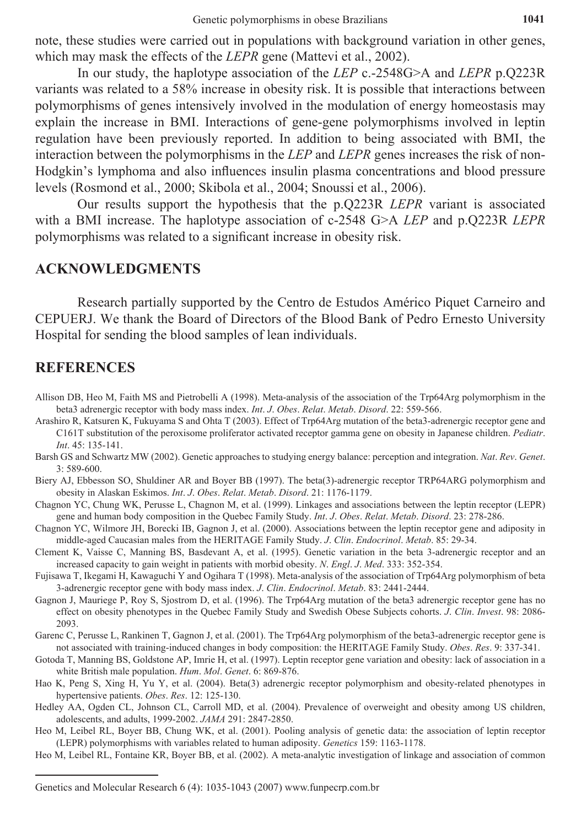note, these studies were carried out in populations with background variation in other genes, which may mask the effects of the *LEPR* gene (Mattevi et al., 2002).

In our study, the haplotype association of the *LEP* c.-2548G>A and *LEPR* p.Q223R variants was related to a 58% increase in obesity risk. It is possible that interactions between polymorphisms of genes intensively involved in the modulation of energy homeostasis may explain the increase in BMI. Interactions of gene-gene polymorphisms involved in leptin regulation have been previously reported. In addition to being associated with BMI, the interaction between the polymorphisms in the *LEP* and *LEPR* genes increases the risk of non-Hodgkin's lymphoma and also influences insulin plasma concentrations and blood pressure levels (Rosmond et al., 2000; Skibola et al., 2004; Snoussi et al., 2006).

Our results support the hypothesis that the p.Q223R *LEPR* variant is associated with a BMI increase. The haplotype association of c-2548 G>A *LEP* and p.Q223R *LEPR* polymorphisms was related to a significant increase in obesity risk.

## **Acknowledgments**

Research partially supported by the Centro de Estudos Américo Piquet Carneiro and CEPUERJ. We thank the Board of Directors of the Blood Bank of Pedro Ernesto University Hospital for sending the blood samples of lean individuals.

# **References**

- Allison DB, Heo M, Faith MS and Pietrobelli A (1998). Meta-analysis of the association of the Trp64Arg polymorphism in the beta3 adrenergic receptor with body mass index. *Int*. *J*. *Obes*. *Relat*. *Metab*. *Disord*. 22: 559-566.
- Arashiro R, Katsuren K, Fukuyama S and Ohta T (2003). Effect of Trp64Arg mutation of the beta3-adrenergic receptor gene and C161T substitution of the peroxisome proliferator activated receptor gamma gene on obesity in Japanese children. *Pediatr*. *Int*. 45: 135-141.
- Barsh GS and Schwartz MW (2002). Genetic approaches to studying energy balance: perception and integration. *Nat*. *Rev*. *Genet*. 3: 589-600.
- Biery AJ, Ebbesson SO, Shuldiner AR and Boyer BB (1997). The beta(3)-adrenergic receptor TRP64ARG polymorphism and obesity in Alaskan Eskimos. *Int*. *J*. *Obes*. *Relat*. *Metab*. *Disord*. 21: 1176-1179.
- Chagnon YC, Chung WK, Perusse L, Chagnon M, et al. (1999). Linkages and associations between the leptin receptor (LEPR) gene and human body composition in the Quebec Family Study. *Int*. *J*. *Obes*. *Relat*. *Metab*. *Disord*. 23: 278-286.
- Chagnon YC, Wilmore JH, Borecki IB, Gagnon J, et al. (2000). Associations between the leptin receptor gene and adiposity in middle-aged Caucasian males from the HERITAGE family study. *J*. *Clin*. *Endocrinol*. *Metab*. 85: 29-34.
- Clement K, Vaisse C, Manning BS, Basdevant A, et al. (1995). Genetic variation in the beta 3-adrenergic receptor and an increased capacity to gain weight in patients with morbid obesity. *N*. *Engl*. *J*. *Med*. 333: 352-354.
- Fujisawa T, Ikegami H, Kawaguchi Y and Ogihara T (1998). Meta-analysis of the association of Trp64Arg polymorphism of beta 3-adrenergic receptor gene with body mass index. *J*. *Clin*. *Endocrinol*. *Metab*. 83: 2441-2444.
- Gagnon J, Mauriege P, Roy S, Sjostrom D, et al. (1996). The Trp64Arg mutation of the beta3 adrenergic receptor gene has no effect on obesity phenotypes in the Quebec Family Study and Swedish Obese Subjects cohorts. *J*. *Clin*. *Invest*. 98: 2086- 2093.
- Garenc C, Perusse L, Rankinen T, Gagnon J, et al. (2001). The Trp64Arg polymorphism of the beta3-adrenergic receptor gene is not associated with training-induced changes in body composition: the HERITAGE family study. *Obes*. *Res*. 9: 337-341.
- Gotoda T, Manning BS, Goldstone AP, Imrie H, et al. (1997). Leptin receptor gene variation and obesity: lack of association in a white British male population. *Hum*. *Mol*. *Genet*. 6: 869-876.
- Hao K, Peng S, Xing H, Yu Y, et al. (2004). beta(3) adrenergic receptor polymorphism and obesity-related phenotypes in hypertensive patients. *Obes*. *Res*. 12: 125-130.
- Hedley AA, Ogden CL, Johnson CL, Carroll MD, et al. (2004). Prevalence of overweight and obesity among US children, adolescents, and adults, 1999-2002. *JAMA* 291: 2847-2850.
- Heo M, Leibel RL, Boyer BB, Chung WK, et al. (2001). Pooling analysis of genetic data: the association of leptin receptor (LEPR) polymorphisms with variables related to human adiposity. *Genetics* 159: 1163-1178.
- Heo M, Leibel RL, Fontaine KR, Boyer BB, et al. (2002). A meta-analytic investigation of linkage and association of common

Genetics and Molecular Research 6 (4): 1035-1043 (2007) www.funpecrp.com.br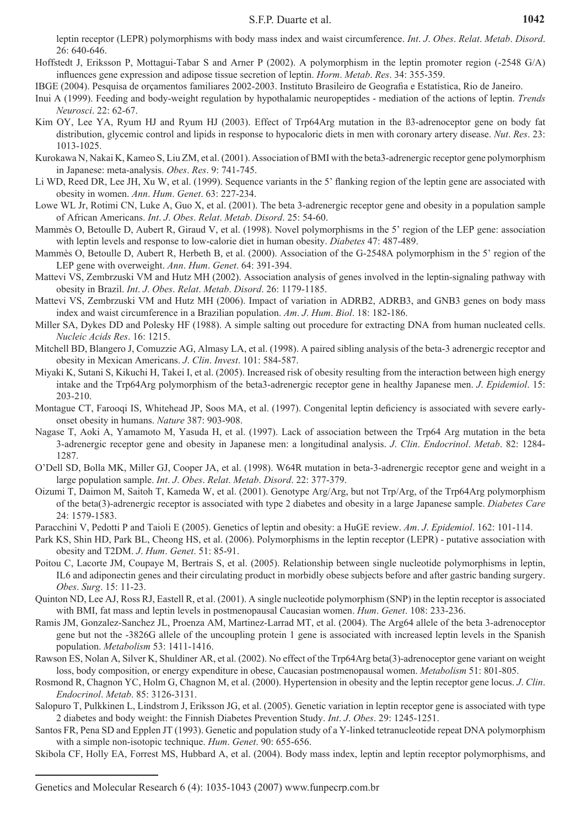- Hoffstedt J, Eriksson P, Mottagui-Tabar S and Arner P (2002). A polymorphism in the leptin promoter region (-2548 G/A) influences gene expression and adipose tissue secretion of leptin. *Horm*. *Metab*. *Res*. 34: 355-359.
- IBGE (2004). Pesquisa de orçamentos familiares 2002-2003. Instituto Brasileiro de Geografia e Estatística, Rio de Janeiro.
- Inui A (1999). Feeding and body-weight regulation by hypothalamic neuropeptides mediation of the actions of leptin. *Trends Neurosci*. 22: 62-67.
- Kim OY, Lee YA, Ryum HJ and Ryum HJ (2003). Effect of Trp64Arg mutation in the B3-adrenoceptor gene on body fat distribution, glycemic control and lipids in response to hypocaloric diets in men with coronary artery disease. *Nut*. *Res*. 23: 1013-1025.
- Kurokawa N, Nakai K, Kameo S, Liu ZM, et al. (2001). Association of BMI with the beta3-adrenergic receptor gene polymorphism in Japanese: meta-analysis. *Obes*. *Res*. 9: 741-745.
- Li WD, Reed DR, Lee JH, Xu W, et al. (1999). Sequence variants in the 5' flanking region of the leptin gene are associated with obesity in women. *Ann*. *Hum*. *Genet*. 63: 227-234.
- Lowe WL Jr, Rotimi CN, Luke A, Guo X, et al. (2001). The beta 3-adrenergic receptor gene and obesity in a population sample of African Americans. *Int*. *J*. *Obes*. *Relat*. *Metab*. *Disord*. 25: 54-60.
- Mammès O, Betoulle D, Aubert R, Giraud V, et al. (1998). Novel polymorphisms in the 5' region of the LEP gene: association with leptin levels and response to low-calorie diet in human obesity. *Diabetes* 47: 487-489.
- Mammès O, Betoulle D, Aubert R, Herbeth B, et al. (2000). Association of the G-2548A polymorphism in the 5' region of the LEP gene with overweight. *Ann*. *Hum*. *Genet*. 64: 391-394.
- Mattevi VS, Zembrzuski VM and Hutz MH (2002). Association analysis of genes involved in the leptin-signaling pathway with obesity in Brazil. *Int*. *J*. *Obes*. *Relat*. *Metab*. *Disord*. 26: 1179-1185.
- Mattevi VS, Zembrzuski VM and Hutz MH (2006). Impact of variation in ADRB2, ADRB3, and GNB3 genes on body mass index and waist circumference in a Brazilian population. *Am*. *J*. *Hum*. *Biol*. 18: 182-186.
- Miller SA, Dykes DD and Polesky HF (1988). A simple salting out procedure for extracting DNA from human nucleated cells. *Nucleic Acids Res*. 16: 1215.
- Mitchell BD, Blangero J, Comuzzie AG, Almasy LA, et al. (1998). A paired sibling analysis of the beta-3 adrenergic receptor and obesity in Mexican Americans. *J*. *Clin*. *Invest*. 101: 584-587.
- Miyaki K, Sutani S, Kikuchi H, Takei I, et al. (2005). Increased risk of obesity resulting from the interaction between high energy intake and the Trp64Arg polymorphism of the beta3-adrenergic receptor gene in healthy Japanese men. *J*. *Epidemiol*. 15: 203-210.
- Montague CT, Farooqi IS, Whitehead JP, Soos MA, et al. (1997). Congenital leptin deficiency is associated with severe earlyonset obesity in humans. *Nature* 387: 903-908.
- Nagase T, Aoki A, Yamamoto M, Yasuda H, et al. (1997). Lack of association between the Trp64 Arg mutation in the beta 3-adrenergic receptor gene and obesity in Japanese men: a longitudinal analysis. *J*. *Clin*. *Endocrinol*. *Metab*. 82: 1284- 1287.
- O'Dell SD, Bolla MK, Miller GJ, Cooper JA, et al. (1998). W64R mutation in beta-3-adrenergic receptor gene and weight in a large population sample. *Int*. *J*. *Obes*. *Relat*. *Metab*. *Disord*. 22: 377-379.
- Oizumi T, Daimon M, Saitoh T, Kameda W, et al. (2001). Genotype Arg/Arg, but not Trp/Arg, of the Trp64Arg polymorphism of the beta(3)-adrenergic receptor is associated with type 2 diabetes and obesity in a large Japanese sample. *Diabetes Care* 24: 1579-1583.
- Paracchini V, Pedotti P and Taioli E (2005). Genetics of leptin and obesity: a HuGE review. *Am*. *J*. *Epidemiol*. 162: 101-114.
- Park KS, Shin HD, Park BL, Cheong HS, et al. (2006). Polymorphisms in the leptin receptor (LEPR) putative association with obesity and T2DM. *J*. *Hum*. *Genet*. 51: 85-91.
- Poitou C, Lacorte JM, Coupaye M, Bertrais S, et al. (2005). Relationship between single nucleotide polymorphisms in leptin, IL6 and adiponectin genes and their circulating product in morbidly obese subjects before and after gastric banding surgery. *Obes*. *Surg*. 15: 11-23.
- Quinton ND, Lee AJ, Ross RJ, Eastell R, et al. (2001). A single nucleotide polymorphism (SNP) in the leptin receptor is associated with BMI, fat mass and leptin levels in postmenopausal Caucasian women. *Hum*. *Genet*. 108: 233-236.
- Ramis JM, Gonzalez-Sanchez JL, Proenza AM, Martinez-Larrad MT, et al. (2004). The Arg64 allele of the beta 3-adrenoceptor gene but not the -3826G allele of the uncoupling protein 1 gene is associated with increased leptin levels in the Spanish population. *Metabolism* 53: 1411-1416.
- Rawson ES, Nolan A, Silver K, Shuldiner AR, et al. (2002). No effect of the Trp64Arg beta(3)-adrenoceptor gene variant on weight loss, body composition, or energy expenditure in obese, caucasian postmenopausal women. *Metabolism* 51: 801-805.
- Rosmond R, Chagnon YC, Holm G, Chagnon M, et al. (2000). Hypertension in obesity and the leptin receptor gene locus. *J*. *Clin*. *Endocrinol*. *Metab*. 85: 3126-3131.
- Salopuro T, Pulkkinen L, Lindstrom J, Eriksson JG, et al. (2005). Genetic variation in leptin receptor gene is associated with type 2 diabetes and body weight: the finnish diabetes prevention study. *Int*. *J*. *Obes*. 29: 1245-1251.
- Santos FR, Pena SD and Epplen JT (1993). Genetic and population study of a Y-linked tetranucleotide repeat DNA polymorphism with a simple non-isotopic technique. *Hum*. *Genet*. 90: 655-656.
- Skibola CF, Holly EA, Forrest MS, Hubbard A, et al. (2004). Body mass index, leptin and leptin receptor polymorphisms, and